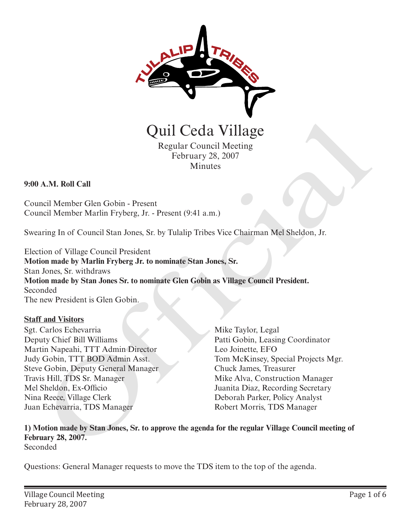

Quil Ceda Village

Regular Council Meeting February 28, 2007 Minutes

### **9:00 A.M. Roll Call**

Council Member Glen Gobin - Present Council Member Marlin Fryberg, Jr. - Present (9:41 a.m.)

Swearing In of Council Stan Jones, Sr. by Tulalip Tribes Vice Chairman Mel Sheldon, Jr.

Election of Village Council President **Motion made by Marlin Fryberg Jr. to nominate Stan Jones, Sr.** Stan Jones, Sr. withdraws **Motion made by Stan Jones Sr. to nominate Glen Gobin as Village Council President.** Seconded The new President is Glen Gobin. **CHIT Cectarista Control (CHIT Cectarista)**<br>
Regular Council Meeting<br>
Regular Council Meeting<br>
A.M. Roll Call<br>
and Member Glen Gobin - Present<br>
redict Member Martin Fryberg, Jr. - Present (9:41 a.m.)<br>
ring In of Council St

#### **Staff and Visitors**

Sgt. Carlos Echevarria Deputy Chief Bill Williams Martin Napeahi, TTT Admin Director Judy Gobin, TTT BOD Admin Asst. Steve Gobin, Deputy General Manager Travis Hill, TDS Sr. Manager Mel Sheldon, Ex-Officio Nina Reece, Village Clerk Juan Echevarria, TDS Manager

Mike Taylor, Legal Patti Gobin, Leasing Coordinator Leo Joinette, EFO Tom McKinsey, Special Projects Mgr. Chuck James, Treasurer Mike Alva, Construction Manager Juanita Diaz, Recording Secretary Deborah Parker, Policy Analyst Robert Morris, TDS Manager

**1) Motion made by Stan Jones, Sr. to approve the agenda for the regular Village Council meeting of February 28, 2007.**

Seconded

Questions: General Manager requests to move the TDS item to the top of the agenda.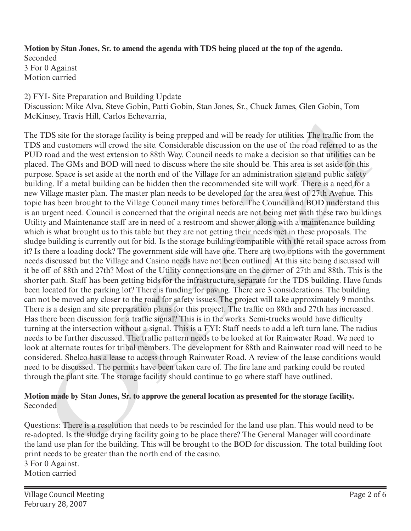**Motion by Stan Jones, Sr. to amend the agenda with TDS being placed at the top of the agenda.** Seconded 3 For 0 Against Motion carried

### 2) FYI- Site Preparation and Building Update

Discussion: Mike Alva, Steve Gobin, Patti Gobin, Stan Jones, Sr., Chuck James, Glen Gobin, Tom McKinsey, Travis Hill, Carlos Echevarria,

The TDS site for the storage facility is being prepped and will be ready for utilities. The traffic from the TDS and customers will crowd the site. Considerable discussion on the use of the road referred to as the PUD road and the west extension to 88th Way. Council needs to make a decision so that utilities can be placed. The GMs and BOD will need to discuss where the site should be. This area is set aside for this purpose. Space is set aside at the north end of the Village for an administration site and public safety building. If a metal building can be hidden then the recommended site will work. There is a need for a new Village master plan. The master plan needs to be developed for the area west of 27th Avenue. This topic has been brought to the Village Council many times before. The Council and BOD understand this is an urgent need. Council is concerned that the original needs are not being met with these two buildings. Utility and Maintenance staff are in need of a restroom and shower along with a maintenance building which is what brought us to this table but they are not getting their needs met in these proposals. The sludge building is currently out for bid. Is the storage building compatible with the retail space across from it? Is there a loading dock? The government side will have one. There are two options with the government needs discussed but the Village and Casino needs have not been outlined. At this site being discussed will it be off of 88th and 27th? Most of the Utility connections are on the corner of 27th and 88th. This is the shorter path. Staff has been getting bids for the infrastructure, separate for the TDS building. Have funds been located for the parking lot? There is funding for paving. There are 3 considerations. The building can not be moved any closer to the road for safety issues. The project will take approximately 9 months. There is a design and site preparation plans for this project. The traffic on 88th and 27th has increased. Has there been discussion for a traffic signal? This is in the works. Semi-trucks would have difficulty turning at the intersection without a signal. This is a FYI: Staff needs to add a left turn lane. The radius needs to be further discussed. The traffic pattern needs to be looked at for Rainwater Road. We need to look at alternate routes for tribal members. The development for 88th and Rainwater road will need to be considered. Shelco has a lease to access through Rainwater Road. A review of the lease conditions would need to be discussed. The permits have been taken care of. The fire lane and parking could be routed through the plant site. The storage facility should continue to go where staff have outlined. TIDS site for the storage facility is being prepped and will be ready for utilities. The traffic from the state case of this will crowd the site. Considerable discussion on the use of the road referred to as the road cust

### **Motion made by Stan Jones, Sr. to approve the general location as presented for the storage facility.** Seconded

Questions: There is a resolution that needs to be rescinded for the land use plan. This would need to be re-adopted. Is the sludge drying facility going to be place there? The General Manager will coordinate the land use plan for the building. This will be brought to the BOD for discussion. The total building foot print needs to be greater than the north end of the casino. 3 For 0 Against. Motion carried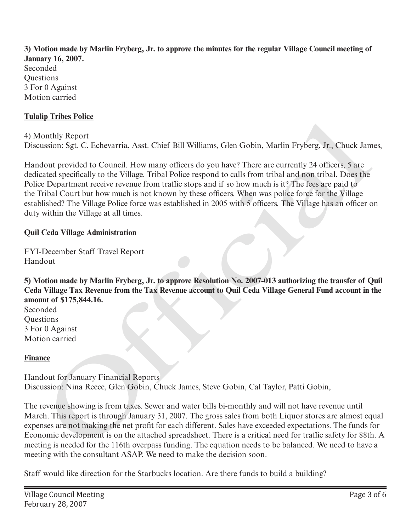**3) Motion made by Marlin Fryberg, Jr. to approve the minutes for the regular Village Council meeting of January 16, 2007.** Seconded

**Ouestions** 3 For 0 Against Motion carried

## **Tulalip Tribes Police**

4) Monthly Report Discussion: Sgt. C. Echevarria, Asst. Chief Bill Williams, Glen Gobin, Marlin Fryberg, Jr., Chuck James,

Handout provided to Council. How many officers do you have? There are currently 24 officers, 5 are dedicated specifically to the Village. Tribal Police respond to calls from tribal and non tribal. Does the Police Department receive revenue from traffic stops and if so how much is it? The fees are paid to the Tribal Court but how much is not known by these officers. When was police force for the Village established? The Village Police force was established in 2005 with 5 officers. The Village has an officer on duty within the Village at all times. onthly Report<br>only Report<br>only Report<br>only Report<br>tosials. Sgr. C. Echevarria, Asst. Chici Bill Williams, Glen Gobin, Marlin Fryberg, Jr., Chuck Jan<br>dout provided to Council. How many officers do you have? There are curren

# **Quil Ceda Village Administration**

FYI-December Staff Travel Report Handout

**5) Motion made by Marlin Fryberg, Jr. to approve Resolution No. 2007-013 authorizing the transfer of Quil Ceda Village Tax Revenue from the Tax Revenue account to Quil Ceda Village General Fund account in the amount of \$175,844.16.**

Seconded **Ouestions** 3 For 0 Against Motion carried

# **Finance**

Handout for January Financial Reports Discussion: Nina Reece, Glen Gobin, Chuck James, Steve Gobin, Cal Taylor, Patti Gobin,

The revenue showing is from taxes. Sewer and water bills bi-monthly and will not have revenue until March. This report is through January 31, 2007. The gross sales from both Liquor stores are almost equal expenses are not making the net profit for each different. Sales have exceeded expectations. The funds for Economic development is on the attached spreadsheet. There is a critical need for traffic safety for 88th. A meeting is needed for the 116th overpass funding. The equation needs to be balanced. We need to have a meeting with the consultant ASAP. We need to make the decision soon.

Staff would like direction for the Starbucks location. Are there funds to build a building?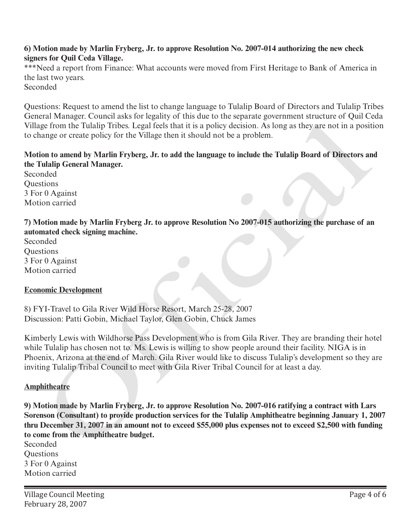### **6) Motion made by Marlin Fryberg, Jr. to approve Resolution No. 2007-014 authorizing the new check signers for Quil Ceda Village.**

\*\*\*Need a report from Finance: What accounts were moved from First Heritage to Bank of America in the last two years. Seconded

Questions: Request to amend the list to change language to Tulalip Board of Directors and Tulalip Tribes General Manager. Council asks for legality of this due to the separate government structure of Quil Ceda Village from the Tulalip Tribes. Legal feels that it is a policy decision. As long as they are not in a position to change or create policy for the Village then it should not be a problem.

## **Motion to amend by Marlin Fryberg, Jr. to add the language to include the Tulalip Board of Directors and the Tulalip General Manager.**

Seconded **Ouestions** 3 For 0 Against Motion carried

**7) Motion made by Marlin Fryberg Jr. to approve Resolution No 2007-015 authorizing the purchase of an automated check signing machine.**

Seconded **Ouestions** 3 For 0 Against Motion carried

### **Economic Development**

8) FYI-Travel to Gila River Wild Horse Resort, March 25-28, 2007 Discussion: Patti Gobin, Michael Taylor, Glen Gobin, Chuck James

Kimberly Lewis with Wildhorse Pass Development who is from Gila River. They are branding their hotel while Tulalip has chosen not to. Ms. Lewis is willing to show people around their facility. NIGA is in Phoenix, Arizona at the end of March. Gila River would like to discuss Tulalip's development so they are inviting Tulalip Tribal Council to meet with Gila River Tribal Council for at least a day.

### **Amphitheatre**

**9) Motion made by Marlin Fryberg, Jr. to approve Resolution No. 2007-016 ratifying a contract with Lars Sorenson (Consultant) to provide production services for the Tulalip Amphitheatre beginning January 1, 2007 thru December 31, 2007 in an amount not to exceed \$55,000 plus expenses not to exceed \$2,500 with funding to come from the Amphitheatre budget.** ond The Tublity Tribes. Legal leeds that it is a policy decision. As long as they are not in a positive of the Tublity Tribes. Legal leeds that it is a policy decision. As long as they are not in a positive of or cear poli

Seconded Questions 3 For 0 Against Motion carried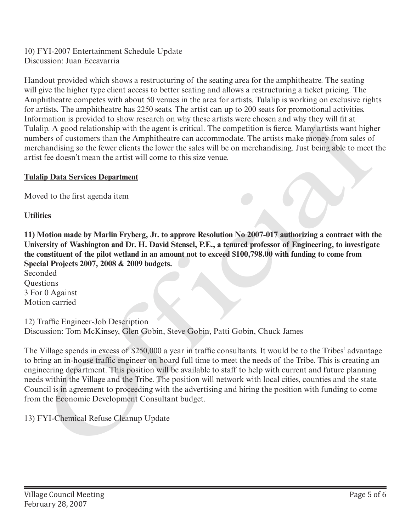10) FYI-2007 Entertainment Schedule Update Discussion: Juan Eccavarria

Handout provided which shows a restructuring of the seating area for the amphitheatre. The seating will give the higher type client access to better seating and allows a restructuring a ticket pricing. The Amphitheatre competes with about 50 venues in the area for artists. Tulalip is working on exclusive rights for artists. The amphitheatre has 2250 seats. The artist can up to 200 seats for promotional activities. Information is provided to show research on why these artists were chosen and why they will fit at Tulalip. A good relationship with the agent is critical. The competition is fierce. Many artists want higher numbers of customers than the Amphitheatre can accommodate. The artists make money from sales of merchandising so the fewer clients the lower the sales will be on merchandising. Just being able to meet the artist fee doesn't mean the artist will come to this size venue.

## **Tulalip Data Services Department**

Moved to the first agenda item

**Utilities**

**11) Motion made by Marlin Fryberg, Jr. to approve Resolution No 2007-017 authorizing a contract with the University of Washington and Dr. H. David Stensel, P.E., a tenured professor of Engineering, to investigate the constituent of the pilot wetland in an amount not to exceed \$100,798.00 with funding to come from Special Projects 2007, 2008 & 2009 budgets.**

Seconded **Ouestions** 3 For 0 Against Motion carried

12) Traffic Engineer-Job Description Discussion: Tom McKinsey, Glen Gobin, Steve Gobin, Patti Gobin, Chuck James

The Village spends in excess of \$250,000 a year in traffic consultants. It would be to the Tribes' advantage to bring an in-house traffic engineer on board full time to meet the needs of the Tribe. This is creating an engineering department. This position will be available to staff to help with current and future planning needs within the Village and the Tribe. The position will network with local cities, counties and the state. Council is in agreement to proceeding with the advertising and hiring the position with funding to come from the Economic Development Consultant budget. Information is provided to snow releasten on way meas artists were chosen and way must nature the<br>Tulalip. A good relationship with the agent is critical. The competition is fierce. Many artists want high<br>numbers of cation